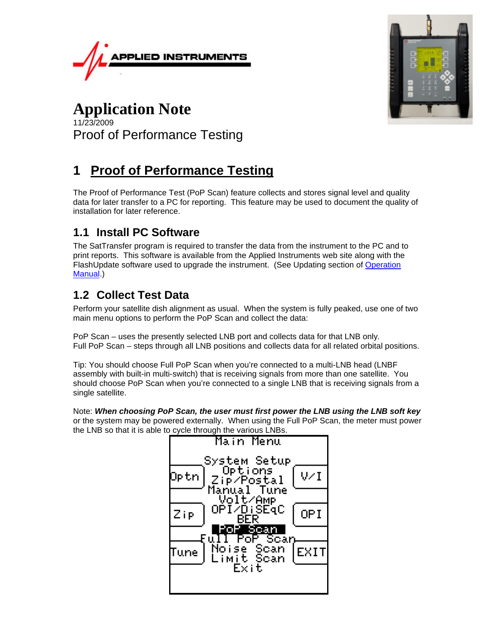



### **Application Note** 11/23/2009 Proof of Performance Testing

# **1 Proof of Performance Testing**

The Proof of Performance Test (PoP Scan) feature collects and stores signal level and quality data for later transfer to a PC for reporting. This feature may be used to document the quality of installation for later reference.

### **1.1 Install PC Software**

The SatTransfer program is required to transfer the data from the instrument to the PC and to print reports. This software is available from the Applied Instruments web site along with the FlashUpdate software used to upgrade the instrument. (See Updating section of Operation Manual.)

## **1.2 Collect Test Data**

Perform your satellite dish alignment as usual. When the system is fully peaked, use one of two main menu options to perform the PoP Scan and collect the data:

PoP Scan – uses the presently selected LNB port and collects data for that LNB only. Full PoP Scan – steps through all LNB positions and collects data for all related orbital positions.

Tip: You should choose Full PoP Scan when you're connected to a multi-LNB head (LNBF assembly with built-in multi-switch) that is receiving signals from more than one satellite. You should choose PoP Scan when you're connected to a single LNB that is receiving signals from a single satellite.

Note: *When choosing PoP Scan, the user must first power the LNB using the LNB soft key* or the system may be powered externally. When using the Full PoP Scan, the meter must power the LNB so that it is able to cycle through the various LNBs.

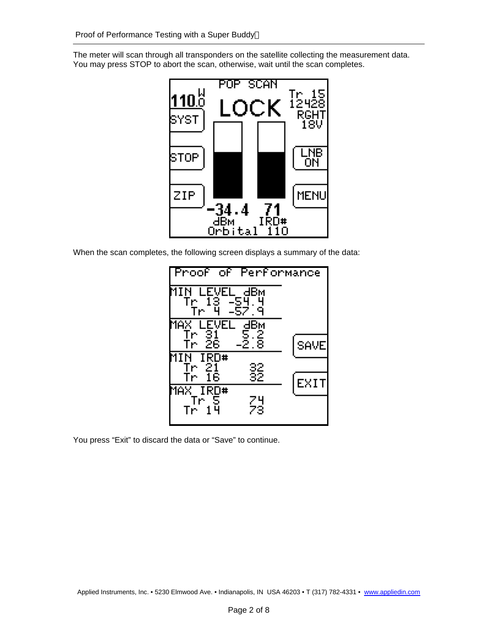The meter will scan through all transponders on the satellite collecting the measurement data. You may press STOP to abort the scan, otherwise, wait until the scan completes.



When the scan completes, the following screen displays a summary of the data:



You press "Exit" to discard the data or "Save" to continue.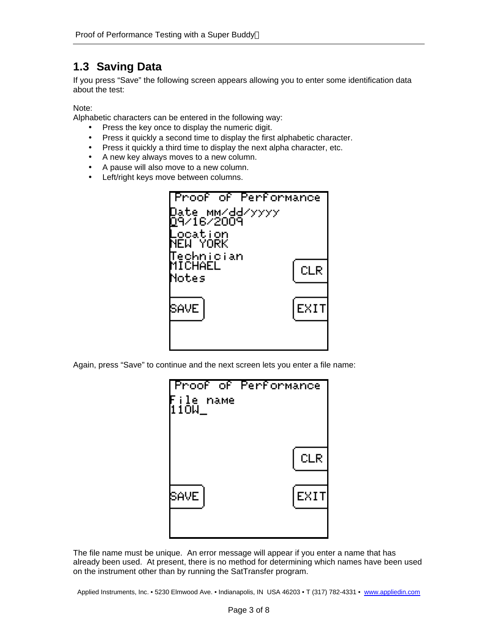#### **1.3 Saving Data**

If you press "Save" the following screen appears allowing you to enter some identification data about the test:

#### Note:

Alphabetic characters can be entered in the following way:

- Press the key once to display the numeric digit.
- Press it quickly a second time to display the first alphabetic character.
- Press it quickly a third time to display the next alpha character, etc.
- A new key always moves to a new column.
- A pause will also move to a new column.
- Left/right keys move between columns.



Again, press "Save" to continue and the next screen lets you enter a file name:



The file name must be unique. An error message will appear if you enter a name that has already been used. At present, there is no method for determining which names have been used on the instrument other than by running the SatTransfer program.

Applied Instruments, Inc. • 5230 Elmwood Ave. • Indianapolis, IN USA 46203 • T (317) 782-4331 • www.appliedin.com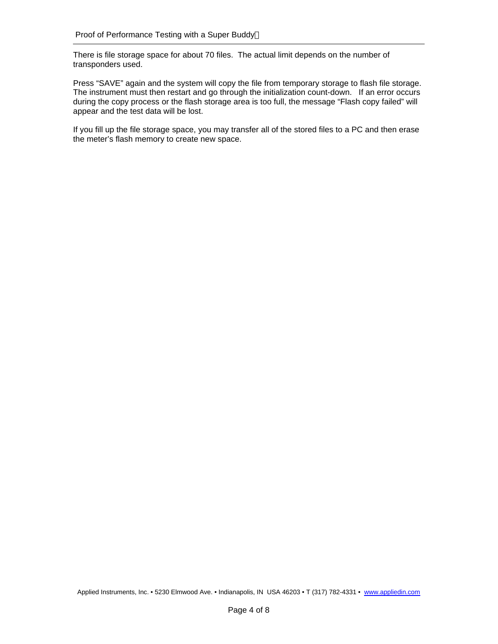There is file storage space for about 70 files. The actual limit depends on the number of transponders used.

Press "SAVE" again and the system will copy the file from temporary storage to flash file storage. The instrument must then restart and go through the initialization count-down. If an error occurs during the copy process or the flash storage area is too full, the message "Flash copy failed" will appear and the test data will be lost.

If you fill up the file storage space, you may transfer all of the stored files to a PC and then erase the meter's flash memory to create new space.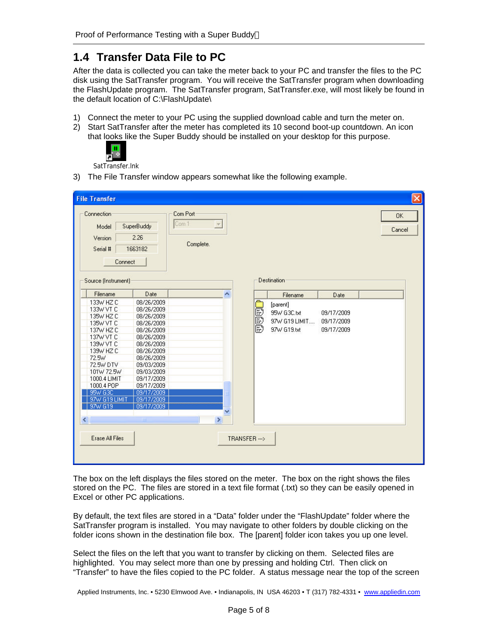#### **1.4 Transfer Data File to PC**

After the data is collected you can take the meter back to your PC and transfer the files to the PC disk using the SatTransfer program. You will receive the SatTransfer program when downloading the FlashUpdate program. The SatTransfer program, SatTransfer.exe, will most likely be found in the default location of C:\FlashUpdate\

- 1) Connect the meter to your PC using the supplied download cable and turn the meter on.
- 2) Start SatTransfer after the meter has completed its 10 second boot-up countdown. An icon that looks like the Super Buddy should be installed on your desktop for this purpose.



SatTransfer.lnk

3) The File Transfer window appears somewhat like the following example.

| <b>File Transfer</b>                                                                                                                                                                                                                                |                                                                                                                                                                                                                                             |                                       |                |            |                                                         |                                        | $ \mathsf{x} $      |
|-----------------------------------------------------------------------------------------------------------------------------------------------------------------------------------------------------------------------------------------------------|---------------------------------------------------------------------------------------------------------------------------------------------------------------------------------------------------------------------------------------------|---------------------------------------|----------------|------------|---------------------------------------------------------|----------------------------------------|---------------------|
| Connection<br>Model<br>Version<br>Serial #                                                                                                                                                                                                          | SuperBuddy<br>2.26<br>1663182<br>Connect                                                                                                                                                                                                    | Com Port<br>Com 1<br>or.<br>Complete. |                |            |                                                         |                                        | <b>OK</b><br>Cancel |
| Source (Instrument)                                                                                                                                                                                                                                 |                                                                                                                                                                                                                                             |                                       |                |            | Destination                                             |                                        |                     |
| Filename                                                                                                                                                                                                                                            | Date                                                                                                                                                                                                                                        | $\blacktriangle$                      |                |            | Filename                                                | Date                                   |                     |
| 133W HZ C<br>133W VT C<br>135W HZ C<br>135W VT C<br>137W HZ C<br>137W VT C<br>139W VT C<br>139W HZ C<br>72.5W<br>72.5W DTV<br>101W 72.5W<br>1000.4 LIMIT<br>1000.4 POP<br>95W G3C<br>97W G19 LIMIT<br>97W G19<br>$\left\langle \cdot \right\rangle$ | 08/26/2009<br>08/26/2009<br>08/26/2009<br>08/26/2009<br>08/26/2009<br>08/26/2009<br>08/26/2009<br>08/26/2009<br>08/26/2009<br>09/03/2009<br>09/03/2009<br>09/17/2009<br>09/17/2009<br>09/17/2009<br>09/17/2009<br>09/17/2009<br><b>TILE</b> | v<br>×                                |                | <u>BBB</u> | [parent]<br>95W G3C.txt<br>97W G19 LIMIT<br>97W G19.txt | 09/17/2009<br>09/17/2009<br>09/17/2009 |                     |
| <b>Erase All Files</b>                                                                                                                                                                                                                              |                                                                                                                                                                                                                                             |                                       | TRANSFER --- > |            |                                                         |                                        |                     |

The box on the left displays the files stored on the meter. The box on the right shows the files stored on the PC. The files are stored in a text file format (.txt) so they can be easily opened in Excel or other PC applications.

By default, the text files are stored in a "Data" folder under the "FlashUpdate" folder where the SatTransfer program is installed. You may navigate to other folders by double clicking on the folder icons shown in the destination file box. The [parent] folder icon takes you up one level.

Select the files on the left that you want to transfer by clicking on them. Selected files are highlighted. You may select more than one by pressing and holding Ctrl. Then click on "Transfer" to have the files copied to the PC folder. A status message near the top of the screen

Applied Instruments, Inc. • 5230 Elmwood Ave. • Indianapolis, IN USA 46203 • T (317) 782-4331 • www.appliedin.com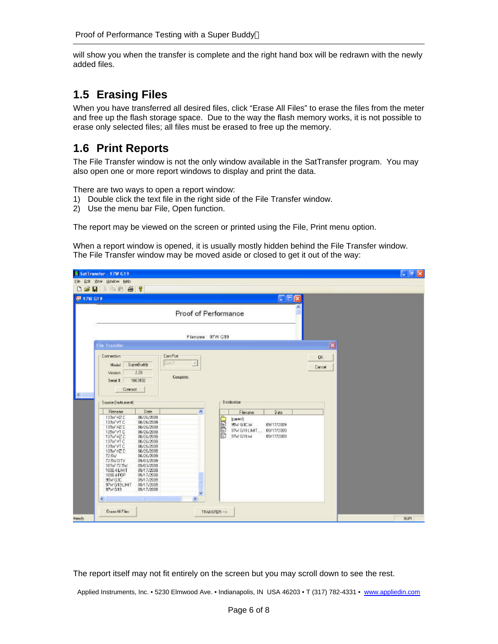will show you when the transfer is complete and the right hand box will be redrawn with the newly added files.

### **1.5 Erasing Files**

When you have transferred all desired files, click "Erase All Files" to erase the files from the meter and free up the flash storage space. Due to the way the flash memory works, it is not possible to erase only selected files; all files must be erased to free up the memory.

#### **1.6 Print Reports**

The File Transfer window is not the only window available in the SatTransfer program. You may also open one or more report windows to display and print the data.

There are two ways to open a report window:

- 1) Double click the text file in the right side of the File Transfer window.
- 2) Use the menu bar File, Open function.

The report may be viewed on the screen or printed using the File, Print menu option.

When a report window is opened, it is usually mostly hidden behind the File Transfer window. The File Transfer window may be moved aside or closed to get it out of the way:

|                   | <b>B</b> SatTransfer - 97W G19                                                                                                                                                                                         |                                                                                                                                                                                                                                             |                                          |            |                                   |           |                                                     |                        |              |              |  | $ \sigma$ $\times$ |
|-------------------|------------------------------------------------------------------------------------------------------------------------------------------------------------------------------------------------------------------------|---------------------------------------------------------------------------------------------------------------------------------------------------------------------------------------------------------------------------------------------|------------------------------------------|------------|-----------------------------------|-----------|-----------------------------------------------------|------------------------|--------------|--------------|--|--------------------|
|                   | Elle Edit (few Window Help)                                                                                                                                                                                            |                                                                                                                                                                                                                                             |                                          |            |                                   |           |                                                     |                        |              |              |  |                    |
|                   | DSM IRR & ?                                                                                                                                                                                                            |                                                                                                                                                                                                                                             |                                          |            |                                   |           |                                                     |                        |              |              |  |                    |
| <b>EM 97W G19</b> |                                                                                                                                                                                                                        |                                                                                                                                                                                                                                             |                                          |            |                                   |           |                                                     | $\Box$ $\Box$ $\times$ |              |              |  |                    |
|                   |                                                                                                                                                                                                                        |                                                                                                                                                                                                                                             | Proof of Performance                     |            |                                   |           |                                                     |                        |              |              |  |                    |
|                   |                                                                                                                                                                                                                        |                                                                                                                                                                                                                                             | Flename: 97W G19                         |            |                                   |           |                                                     |                        |              |              |  |                    |
|                   | <b>File Transfer</b>                                                                                                                                                                                                   |                                                                                                                                                                                                                                             |                                          |            |                                   |           |                                                     |                        |              | $\mathbf{x}$ |  |                    |
| Ŀ                 | Correction<br>Model<br><b>Version</b><br>Send I<br>Connect:                                                                                                                                                            | SuperBuddy<br>228<br>1663182                                                                                                                                                                                                                | <b>ComPot</b><br>Con 1<br>E<br>Complete. |            |                                   |           |                                                     |                        | OK<br>Cancel |              |  |                    |
|                   | Source (Instrument)                                                                                                                                                                                                    |                                                                                                                                                                                                                                             |                                          |            | Destination                       |           |                                                     |                        |              |              |  |                    |
|                   | Flenane                                                                                                                                                                                                                | Date                                                                                                                                                                                                                                        | A                                        |            |                                   | Filenanie | Date                                                |                        |              |              |  |                    |
|                   | 133w HZ D<br>133W VT C<br>135W HZ D<br>135W VT C<br>137w HZ C<br>137W VT C<br>139W VT C<br>139w HZ C<br>72.5w<br>725WDTV<br>10TW 72.5W<br>1000.4 LINIT<br>1000.4 POP<br>95W G3C<br>97w G19LMT<br>97w'G19<br>$\epsilon$ | 08/26/2009<br>08/26/2009<br>08/26/2009<br>08/26/2009<br>08/26/2009<br>08/26/2009<br>08/26/2009<br>08/26/2009<br>08/26/2009<br>09/03/2009<br>09/03/2009<br>09/17/2009<br>09/17/2009<br>09/17/2009<br>08/17/2008<br>09/17/2009<br><b>STEP</b> | $\boldsymbol{\Sigma}$                    | UUE        | beent<br>55V G3CM<br>57 V G19 Jul |           | 03/17/2009<br>97W G19 LMIT 09/17/2009<br>09/17/2009 |                        |              |              |  |                    |
| Ready             | Eraps All Files                                                                                                                                                                                                        |                                                                                                                                                                                                                                             |                                          | TRANSFER-> |                                   |           |                                                     |                        |              |              |  | <b>NUM</b>         |

The report itself may not fit entirely on the screen but you may scroll down to see the rest.

Applied Instruments, Inc. • 5230 Elmwood Ave. • Indianapolis, IN USA 46203 • T (317) 782-4331 • www.appliedin.com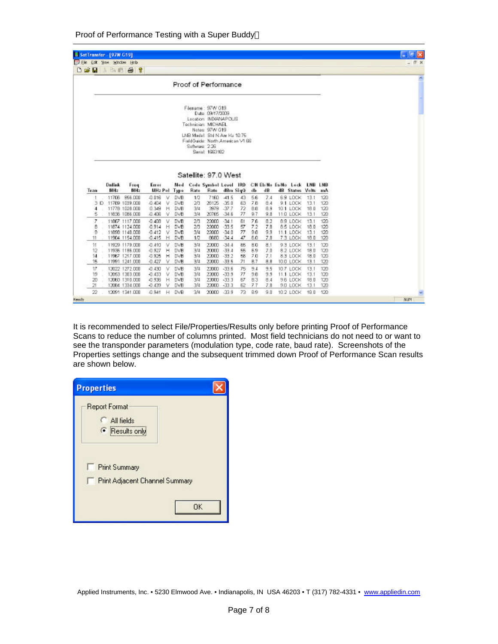| ED Ele Edit New Window Help |                      |                                  |                   |        |                   |                |                                                                                                                                                                                                |          |          |                |            |                                          |              |            |  | - 日 × |
|-----------------------------|----------------------|----------------------------------|-------------------|--------|-------------------|----------------|------------------------------------------------------------------------------------------------------------------------------------------------------------------------------------------------|----------|----------|----------------|------------|------------------------------------------|--------------|------------|--|-------|
| 日本局                         | 当面最                  | $-7$                             |                   |        |                   |                |                                                                                                                                                                                                |          |          |                |            |                                          |              |            |  |       |
|                             |                      |                                  |                   |        |                   |                | Proof of Performance                                                                                                                                                                           |          |          |                |            |                                          |              |            |  |       |
|                             |                      |                                  |                   |        |                   | Saftware: 2.26 | Filename: 97W G19<br>Date: 09/17/2009<br>Location: INDIANAPOLIS<br>Technician: MICHAEL<br>Notes: 97W G19<br>LNB Model: Std N Am Ku 10.75<br>FieldGuide: North American V1 BB<br>Senal: 1663182 |          |          |                |            |                                          |              |            |  |       |
|                             |                      |                                  |                   |        |                   |                |                                                                                                                                                                                                |          |          |                |            |                                          |              |            |  |       |
|                             |                      |                                  |                   |        |                   |                | Satellite: 97.0 West                                                                                                                                                                           |          |          |                |            |                                          |              |            |  |       |
|                             | <b>Deliek</b><br>MHz | Freq<br>MHz                      | Error<br>MHz Pol  |        | Med<br>Type       | Rate           | Code Symbol Level IRD<br>Rate                                                                                                                                                                  | dBm SigQ |          | db             | dB         | CN Eb/No Es/No Lock LNB LNB<br>dB Status | Volts        | mA         |  |       |
|                             | 11706                | 966,000                          | 0.016             | M.     | <b>DVB</b>        | 1/2            | 7160                                                                                                                                                                                           | $-41.5$  | 43       | 56             | 7.4        |                                          | 13.1         | 120        |  |       |
|                             |                      | 3 D 11769 1039 008               | 0.404             | V.     | <b>DVB</b>        | 20             | 26125                                                                                                                                                                                          | $-35.0$  | 63       | 7.8            | 8.4        | 6.9 LOCK<br>9.1 LOCK                     | 13.1         | 120        |  |       |
| 4                           |                      | 11778 1028 000                   | 0.349             | H      | <b>DVB</b>        | 3/4            | 3979                                                                                                                                                                                           | $-37.7$  | 72       | B.6            | 8.9        | 10.1 LOCK                                | 18.0         | 120        |  |       |
| 5                           |                      | 11836 1086.000                   | 0.406             | v      | <b>DVB</b>        | 3/4            | 20765                                                                                                                                                                                          | $-34.8$  | 77       | 9.7            | 9.8        | 11.0 LDCK                                | 13.1         | 120        |  |       |
| Ζ                           |                      | 11867 1117,000                   | $-0.408$          | ν      | <b>DVB</b>        | 2 <sub>0</sub> | 22000                                                                                                                                                                                          | $-34.1$  | B1       | 7.6            | 8.2        | 89 LOCK                                  | 13.1         | 120        |  |       |
| В                           |                      | 11874 1124.000                   | $-0.914$          | Н      | <b>DVB</b>        | $20^{\circ}$   | 22000                                                                                                                                                                                          | $-33.5$  | 57       | 7.2            | 7.8        | 8.5 LOCK                                 | 18.0         | 120        |  |       |
| 9                           |                      | 11696 1148.000                   | $-0.412$          | v      | <b>DVB</b>        | 3/4            | 22000                                                                                                                                                                                          | $-34.0$  | 77       | 9.8            | 9.9        | 11:1 LOCK                                | 13.1         | 120        |  |       |
| 11                          |                      | 11904 1154.000                   | $-0.415$          | Η      | <b>DVB</b>        | 1/2            | 8680                                                                                                                                                                                           | $-34.4$  | 47       | 6.0            | 7.8        | 7.3 LOCK                                 | 18.0         | 120        |  |       |
| 11                          |                      | 11929 1179 000                   | $-0.410$          | v      | <b>DVB</b>        | 3/4            | 22000                                                                                                                                                                                          | $-34.4$  | 65       | B <sub>D</sub> | 8.1        | 9.3 LOCK                                 | 13.1         | 120        |  |       |
| 12                          |                      | 11936 1186.000                   | $-0.927$          | н      | <b>DVB</b>        | 3/4            | 20000                                                                                                                                                                                          | $-33.4$  | 55       | 5.9            | 7.0        | 8.2 LDCK                                 | 18.0         | 120        |  |       |
| 14                          |                      | 11967 1217.000                   | $-0.925$          | н      | <b>DVB</b>        | 30             | 22000                                                                                                                                                                                          | $-33.2$  | 55       | 7.0            | 7.1        | 8.3 LOCK                                 | 18.0         | 120        |  |       |
| 15                          |                      | 11991 1241.000                   | $-0.427$          | v      | DVB               | 34             | 22000                                                                                                                                                                                          | $-33.5$  | 71       | 87             | 8.8        | 10.0 LOCK                                | 13.1         | 120        |  |       |
| 17                          |                      | 12022 1272.000                   | $-0.430$          | v      | <b>DVB</b>        | ЭM             | 22000 - 33.6                                                                                                                                                                                   |          | 75       | 5.4            | 9.5        | 10.7 LOCK                                | 13.1         | 120        |  |       |
| 19                          |                      | 12063 1303.000                   | $-0.433$          | ٧      | <b>DVB</b>        | 3/4            | 22000 - 33.9                                                                                                                                                                                   |          | 77       | 9.8            | 9.9        | 11.1 LOCK                                | 13.1         | 120        |  |       |
| 20                          |                      | 12060 1310.000                   | $-0.936$          | Н      | <b>DVB</b>        | 3/4            | 22000 - 33.3                                                                                                                                                                                   |          | Б7       | B <sub>3</sub> | 8.4        | 9.6 LOCK                                 | 18.0         | 120        |  |       |
| Tran<br>21<br>22            |                      | 12084 1334.000<br>12091 1341.000 | $-0.439$<br>0.941 | v<br>н | <b>DVB</b><br>DVB | 3/4<br>34      | 22000 - 33.3<br>20000                                                                                                                                                                          | $-33.9$  | 62<br>73 | 7.7<br>89      | 7.8<br>9.0 | 9.0 LOCK<br>10.2 LOCK                    | 13.1<br>19.0 | 120<br>120 |  |       |

It is recommended to select File/Properties/Results only before printing Proof of Performance Scans to reduce the number of columns printed. Most field technicians do not need to or want to see the transponder parameters (modulation type, code rate, baud rate). Screenshots of the Properties settings change and the subsequent trimmed down Proof of Performance Scan results are shown below.